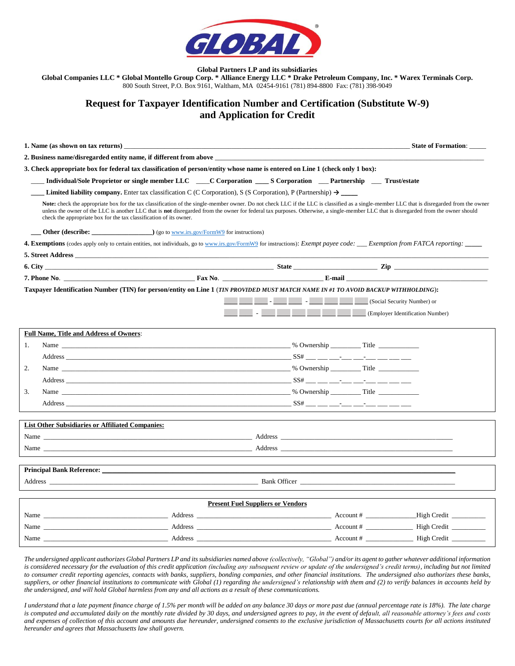

**Global Partners LP and its subsidiaries**

**Global Companies LLC \* Global Montello Group Corp. \* Alliance Energy LLC \* Drake Petroleum Company, Inc. \* Warex Terminals Corp.** 800 South Street, P.O. Box 9161, Waltham, MA 02454-9161 (781) 894-8800 Fax: (781) 398-9049

## **Request for Taxpayer Identification Number and Certification (Substitute W-9) and Application for Credit**

| 1. Name (as shown on tax returns)                                                                                                                                                                                                                                                                                                                                                                                                                               |                                          |                                       | <b>State of Formation:</b> |
|-----------------------------------------------------------------------------------------------------------------------------------------------------------------------------------------------------------------------------------------------------------------------------------------------------------------------------------------------------------------------------------------------------------------------------------------------------------------|------------------------------------------|---------------------------------------|----------------------------|
| 2. Business name/disregarded entity name, if different from above                                                                                                                                                                                                                                                                                                                                                                                               |                                          |                                       |                            |
| 3. Check appropriate box for federal tax classification of person/entity whose name is entered on Line 1 (check only 1 box):                                                                                                                                                                                                                                                                                                                                    |                                          |                                       |                            |
| Individual/Sole Proprietor or single member LLC ____C Corporation ____S Corporation ____Partnership ____Trust/estate                                                                                                                                                                                                                                                                                                                                            |                                          |                                       |                            |
|                                                                                                                                                                                                                                                                                                                                                                                                                                                                 |                                          |                                       |                            |
| Note: check the appropriate box for the tax classification of the single-member owner. Do not check LLC if the LLC is classified as a single-member LLC that is disregarded from the owner<br>unless the owner of the LLC is another LLC that is <b>not</b> disregarded from the owner for federal tax purposes. Otherwise, a single-member LLC that is disregarded from the owner should<br>check the appropriate box for the tax classification of its owner. |                                          |                                       |                            |
| <b>Other (describe:</b> ) (go to www.irs.gov/FormW9 for instructions)                                                                                                                                                                                                                                                                                                                                                                                           |                                          |                                       |                            |
| <b>4. Exemptions</b> (codes apply only to certain entities, not individuals, go to www.irs.gov/FormW9 for instructions): <i>Exempt payee code</i> : <i>____ Exemption from FATCA reporting</i> :                                                                                                                                                                                                                                                                |                                          |                                       |                            |
| 5. Street Address                                                                                                                                                                                                                                                                                                                                                                                                                                               |                                          |                                       |                            |
|                                                                                                                                                                                                                                                                                                                                                                                                                                                                 |                                          |                                       |                            |
|                                                                                                                                                                                                                                                                                                                                                                                                                                                                 |                                          |                                       |                            |
| Taxpayer Identification Number (TIN) for person/entity on Line 1 (TIN PROVIDED MUST MATCH NAME IN #1 TO AVOID BACKUP WITHHOLDING):                                                                                                                                                                                                                                                                                                                              |                                          |                                       |                            |
|                                                                                                                                                                                                                                                                                                                                                                                                                                                                 |                                          |                                       |                            |
|                                                                                                                                                                                                                                                                                                                                                                                                                                                                 |                                          | <b>Employer Identification Number</b> |                            |
| <b>Full Name, Title and Address of Owners:</b>                                                                                                                                                                                                                                                                                                                                                                                                                  |                                          |                                       |                            |
| Name Solution and Solution and Solution and Solution and Solution and Solution and Solution and Solution and Solution and Solution and Solution and Solution and Solution and Solution and Solution and Solution and Solution<br>1.                                                                                                                                                                                                                             |                                          |                                       |                            |
|                                                                                                                                                                                                                                                                                                                                                                                                                                                                 |                                          |                                       |                            |
| 2.                                                                                                                                                                                                                                                                                                                                                                                                                                                              |                                          |                                       |                            |
|                                                                                                                                                                                                                                                                                                                                                                                                                                                                 |                                          |                                       |                            |
| Name Title The Council and the Council and the Council and the Council and the Council and the Council and the Council and the Council and the Council and the Council and the Council and the Council and the Council and the<br>3.                                                                                                                                                                                                                            |                                          |                                       |                            |
|                                                                                                                                                                                                                                                                                                                                                                                                                                                                 |                                          |                                       |                            |
|                                                                                                                                                                                                                                                                                                                                                                                                                                                                 |                                          |                                       |                            |
| <b>List Other Subsidiaries or Affiliated Companies:</b>                                                                                                                                                                                                                                                                                                                                                                                                         |                                          |                                       |                            |
|                                                                                                                                                                                                                                                                                                                                                                                                                                                                 |                                          |                                       |                            |
|                                                                                                                                                                                                                                                                                                                                                                                                                                                                 |                                          |                                       |                            |
|                                                                                                                                                                                                                                                                                                                                                                                                                                                                 |                                          |                                       |                            |
| Address Bank Officer Bank Officer                                                                                                                                                                                                                                                                                                                                                                                                                               |                                          |                                       |                            |
|                                                                                                                                                                                                                                                                                                                                                                                                                                                                 |                                          |                                       |                            |
|                                                                                                                                                                                                                                                                                                                                                                                                                                                                 | <b>Present Fuel Suppliers or Vendors</b> |                                       |                            |
|                                                                                                                                                                                                                                                                                                                                                                                                                                                                 |                                          |                                       |                            |
|                                                                                                                                                                                                                                                                                                                                                                                                                                                                 |                                          |                                       |                            |
|                                                                                                                                                                                                                                                                                                                                                                                                                                                                 |                                          |                                       |                            |

*The undersigned applicant authorizes Global Partners LP and its subsidiaries named above (collectively, "Global") and/or its agent to gather whatever additional information*  is considered necessary for the evaluation of this credit application (including any subsequent review or update of the undersigned's credit terms), including but not limited *to consumer credit reporting agencies, contacts with banks, suppliers, bonding companies, and other financial institutions. The undersigned also authorizes these banks, suppliers, or other financial institutions to communicate with Global (1) regarding the undersigned's relationship with them and (2) to verify balances in accounts held by the undersigned, and will hold Global harmless from any and all actions as a result of these communications.*

*I understand that a late payment finance charge of 1.5% per month will be added on any balance 30 days or more past due (annual percentage rate is 18%). The late charge is computed and accumulated daily on the monthly rate divided by 30 days, and undersigned agrees to pay, in the event of default, all reasonable attorney's fees and costs and expenses of collection of this account and amounts due hereunder, undersigned consents to the exclusive jurisdiction of Massachusetts courts for all actions instituted hereunder and agrees that Massachusetts law shall govern.*